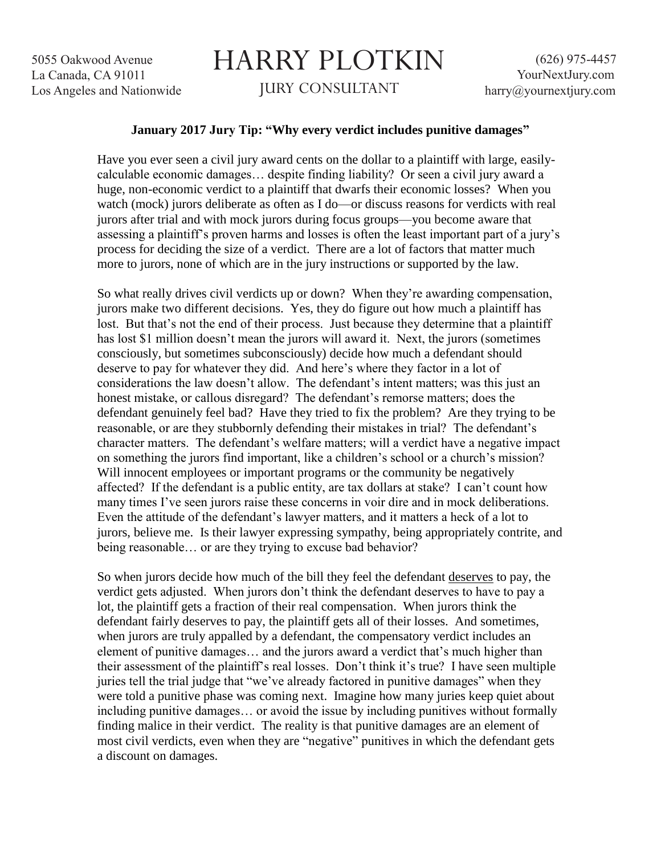## HARRY PLOTKIN JURY CONSULTANT

## **January 2017 Jury Tip: "Why every verdict includes punitive damages"**

Have you ever seen a civil jury award cents on the dollar to a plaintiff with large, easilycalculable economic damages… despite finding liability? Or seen a civil jury award a huge, non-economic verdict to a plaintiff that dwarfs their economic losses? When you watch (mock) jurors deliberate as often as I do—or discuss reasons for verdicts with real jurors after trial and with mock jurors during focus groups—you become aware that assessing a plaintiff's proven harms and losses is often the least important part of a jury's process for deciding the size of a verdict. There are a lot of factors that matter much more to jurors, none of which are in the jury instructions or supported by the law.

So what really drives civil verdicts up or down? When they're awarding compensation, jurors make two different decisions. Yes, they do figure out how much a plaintiff has lost. But that's not the end of their process. Just because they determine that a plaintiff has lost \$1 million doesn't mean the jurors will award it. Next, the jurors (sometimes consciously, but sometimes subconsciously) decide how much a defendant should deserve to pay for whatever they did. And here's where they factor in a lot of considerations the law doesn't allow. The defendant's intent matters; was this just an honest mistake, or callous disregard? The defendant's remorse matters; does the defendant genuinely feel bad? Have they tried to fix the problem? Are they trying to be reasonable, or are they stubbornly defending their mistakes in trial? The defendant's character matters. The defendant's welfare matters; will a verdict have a negative impact on something the jurors find important, like a children's school or a church's mission? Will innocent employees or important programs or the community be negatively affected? If the defendant is a public entity, are tax dollars at stake? I can't count how many times I've seen jurors raise these concerns in voir dire and in mock deliberations. Even the attitude of the defendant's lawyer matters, and it matters a heck of a lot to jurors, believe me. Is their lawyer expressing sympathy, being appropriately contrite, and being reasonable… or are they trying to excuse bad behavior?

So when jurors decide how much of the bill they feel the defendant deserves to pay, the verdict gets adjusted. When jurors don't think the defendant deserves to have to pay a lot, the plaintiff gets a fraction of their real compensation. When jurors think the defendant fairly deserves to pay, the plaintiff gets all of their losses. And sometimes, when jurors are truly appalled by a defendant, the compensatory verdict includes an element of punitive damages… and the jurors award a verdict that's much higher than their assessment of the plaintiff's real losses. Don't think it's true? I have seen multiple juries tell the trial judge that "we've already factored in punitive damages" when they were told a punitive phase was coming next. Imagine how many juries keep quiet about including punitive damages… or avoid the issue by including punitives without formally finding malice in their verdict. The reality is that punitive damages are an element of most civil verdicts, even when they are "negative" punitives in which the defendant gets a discount on damages.